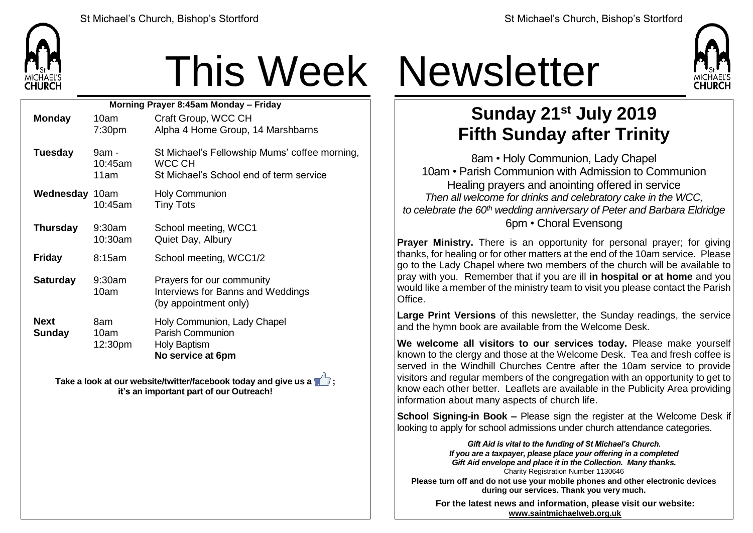

## This Week Newsletter

| Morning Prayer 8:45am Monday - Friday |                          |                                                                                                    |  |  |
|---------------------------------------|--------------------------|----------------------------------------------------------------------------------------------------|--|--|
| <b>Monday</b>                         | 10am                     | Craft Group, WCC CH                                                                                |  |  |
|                                       | 7:30 <sub>pm</sub>       | Alpha 4 Home Group, 14 Marshbarns                                                                  |  |  |
| <b>Tuesday</b>                        | 9am -<br>10:45am<br>11am | St Michael's Fellowship Mums' coffee morning,<br>WCC CH<br>St Michael's School end of term service |  |  |
| <b>Wednesday 10am</b>                 | 10:45am                  | <b>Holy Communion</b><br><b>Tiny Tots</b>                                                          |  |  |
| <b>Thursday</b>                       | $9:30$ am<br>10:30am     | School meeting, WCC1<br>Quiet Day, Albury                                                          |  |  |
| <b>Friday</b>                         | 8:15am                   | School meeting, WCC1/2                                                                             |  |  |
| <b>Saturday</b>                       | $9:30$ am<br>10am        | Prayers for our community<br>Interviews for Banns and Weddings<br>(by appointment only)            |  |  |
| <b>Next</b><br><b>Sunday</b>          | 8am<br>10am<br>12:30pm   | Holy Communion, Lady Chapel<br><b>Parish Communion</b><br><b>Holy Baptism</b><br>No service at 6pm |  |  |

**Take a look at our website/twitter/facebook today and give us a**  $\blacksquare$ **: it's an important part of our Outreach!**



## **Sunday 21st July 2019 Fifth Sunday after Trinity**

8am • Holy Communion, Lady Chapel 10am • Parish Communion with Admission to Communion Healing prayers and anointing offered in service *Then all welcome for drinks and celebratory cake in the WCC, to celebrate the 60th wedding anniversary of Peter and Barbara Eldridge* 6pm • Choral Evensong

**Prayer Ministry.** There is an opportunity for personal prayer; for giving thanks, for healing or for other matters at the end of the 10am service. Please go to the Lady Chapel where two members of the church will be available to pray with you. Remember that if you are ill **in hospital or at home** and you would like a member of the ministry team to visit you please contact the Parish Office.

**Large Print Versions** of this newsletter, the Sunday readings, the service and the hymn book are available from the Welcome Desk.

**We welcome all visitors to our services today.** Please make yourself known to the clergy and those at the Welcome Desk. Tea and fresh coffee is served in the Windhill Churches Centre after the 10am service to provide visitors and regular members of the congregation with an opportunity to get to know each other better. Leaflets are available in the Publicity Area providing information about many aspects of church life.

**School Signing-in Book –** Please sign the register at the Welcome Desk if looking to apply for school admissions under church attendance categories.

> *Gift Aid is vital to the funding of St Michael's Church. If you are a taxpayer, please place your offering in a completed Gift Aid envelope and place it in the Collection. Many thanks.* Charity Registration Number 1130646

**Please turn off and do not use your mobile phones and other electronic devices during our services. Thank you very much.**

**For the latest news and information, please visit our website: [www.saintmichaelweb.org.uk](http://www.saintmichaelweb.org.uk/)**